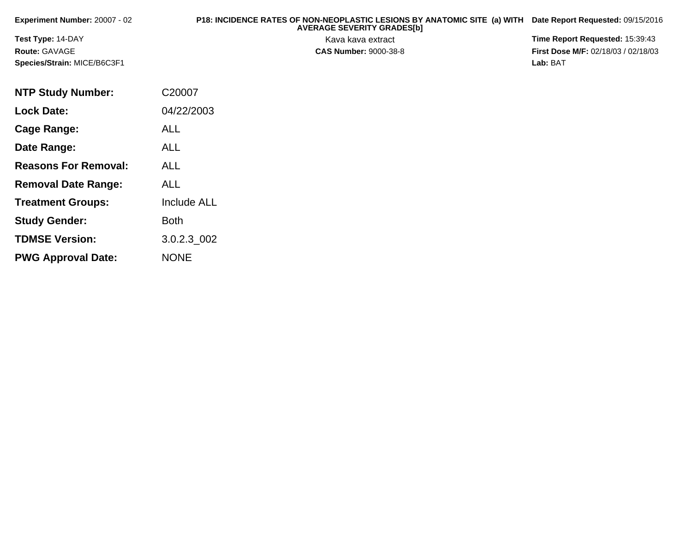| <b>Experiment Number: 20007 - 02</b> | P18: INCIDENCE RATES OF NON-NEOPLASTIC LESIONS BY ANATOMIC SITE (a) WITH<br><b>AVERAGE SEVERITY GRADES[b]</b> | Date Report Requested: 09/15/2016          |
|--------------------------------------|---------------------------------------------------------------------------------------------------------------|--------------------------------------------|
| <b>Test Type: 14-DAY</b>             | Kava kava extract                                                                                             | <b>Time Report Requested: 15:39:43</b>     |
| <b>Route: GAVAGE</b>                 | <b>CAS Number: 9000-38-8</b>                                                                                  | <b>First Dose M/F: 02/18/03 / 02/18/03</b> |
| Species/Strain: MICE/B6C3F1          |                                                                                                               | Lab: BAT                                   |

| <b>NTP Study Number:</b>    | C20007             |
|-----------------------------|--------------------|
| <b>Lock Date:</b>           | 04/22/2003         |
| Cage Range:                 | <b>ALL</b>         |
| Date Range:                 | ALL                |
| <b>Reasons For Removal:</b> | <b>ALL</b>         |
| <b>Removal Date Range:</b>  | ALL                |
| <b>Treatment Groups:</b>    | <b>Include ALL</b> |
| <b>Study Gender:</b>        | <b>Both</b>        |
| <b>TDMSE Version:</b>       | 3.0.2.3 002        |
| <b>PWG Approval Date:</b>   | <b>NONE</b>        |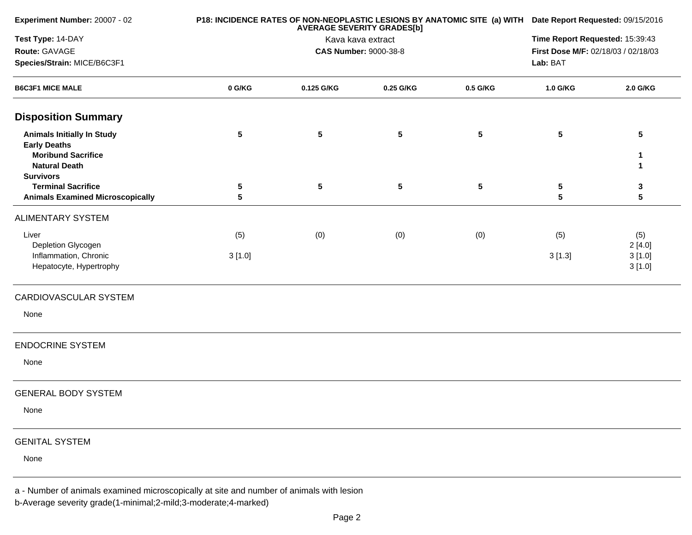| Experiment Number: 20007 - 02                                                                                                     |                              |                   | <b>AVERAGE SEVERITY GRADES[b]</b> |                 | P18: INCIDENCE RATES OF NON-NEOPLASTIC LESIONS BY ANATOMIC SITE (a) WITH Date Report Requested: 09/15/2016 |                                     |  |  |
|-----------------------------------------------------------------------------------------------------------------------------------|------------------------------|-------------------|-----------------------------------|-----------------|------------------------------------------------------------------------------------------------------------|-------------------------------------|--|--|
| Test Type: 14-DAY                                                                                                                 |                              | Kava kava extract | Time Report Requested: 15:39:43   |                 |                                                                                                            |                                     |  |  |
| Route: GAVAGE                                                                                                                     | <b>CAS Number: 9000-38-8</b> |                   |                                   |                 |                                                                                                            | First Dose M/F: 02/18/03 / 02/18/03 |  |  |
| Species/Strain: MICE/B6C3F1                                                                                                       |                              |                   | Lab: BAT                          |                 |                                                                                                            |                                     |  |  |
| <b>B6C3F1 MICE MALE</b>                                                                                                           | 0 G/KG                       | 0.125 G/KG        | 0.25 G/KG                         | 0.5 G/KG        | 1.0 G/KG                                                                                                   | 2.0 G/KG                            |  |  |
| <b>Disposition Summary</b>                                                                                                        |                              |                   |                                   |                 |                                                                                                            |                                     |  |  |
| <b>Animals Initially In Study</b><br><b>Early Deaths</b><br><b>Moribund Sacrifice</b><br><b>Natural Death</b><br><b>Survivors</b> | $5\phantom{.0}$              | ${\bf 5}$         | $5\phantom{.0}$                   | $5\phantom{.0}$ | $5\phantom{.0}$                                                                                            | $5\phantom{.0}$<br>1<br>-1          |  |  |
| <b>Terminal Sacrifice</b>                                                                                                         | 5                            | $5\phantom{.0}$   | $5\phantom{.0}$                   | $5\phantom{.0}$ | ${\bf 5}$                                                                                                  | 3                                   |  |  |
| <b>Animals Examined Microscopically</b>                                                                                           | 5                            |                   |                                   |                 | $5\phantom{.0}$                                                                                            | $\sqrt{5}$                          |  |  |
| <b>ALIMENTARY SYSTEM</b>                                                                                                          |                              |                   |                                   |                 |                                                                                                            |                                     |  |  |
| Liver<br>Depletion Glycogen                                                                                                       | (5)                          | (0)               | (0)                               | (0)             | (5)                                                                                                        | (5)<br>2[4.0]                       |  |  |
| Inflammation, Chronic<br>Hepatocyte, Hypertrophy                                                                                  | 3[1.0]                       |                   |                                   |                 | 3[1.3]                                                                                                     | 3[1.0]<br>3[1.0]                    |  |  |
| CARDIOVASCULAR SYSTEM                                                                                                             |                              |                   |                                   |                 |                                                                                                            |                                     |  |  |
| None                                                                                                                              |                              |                   |                                   |                 |                                                                                                            |                                     |  |  |
| <b>ENDOCRINE SYSTEM</b>                                                                                                           |                              |                   |                                   |                 |                                                                                                            |                                     |  |  |
| None                                                                                                                              |                              |                   |                                   |                 |                                                                                                            |                                     |  |  |
| <b>GENERAL BODY SYSTEM</b>                                                                                                        |                              |                   |                                   |                 |                                                                                                            |                                     |  |  |
| None                                                                                                                              |                              |                   |                                   |                 |                                                                                                            |                                     |  |  |
| <b>GENITAL SYSTEM</b>                                                                                                             |                              |                   |                                   |                 |                                                                                                            |                                     |  |  |
| None                                                                                                                              |                              |                   |                                   |                 |                                                                                                            |                                     |  |  |
|                                                                                                                                   |                              |                   |                                   |                 |                                                                                                            |                                     |  |  |

a - Number of animals examined microscopically at site and number of animals with lesion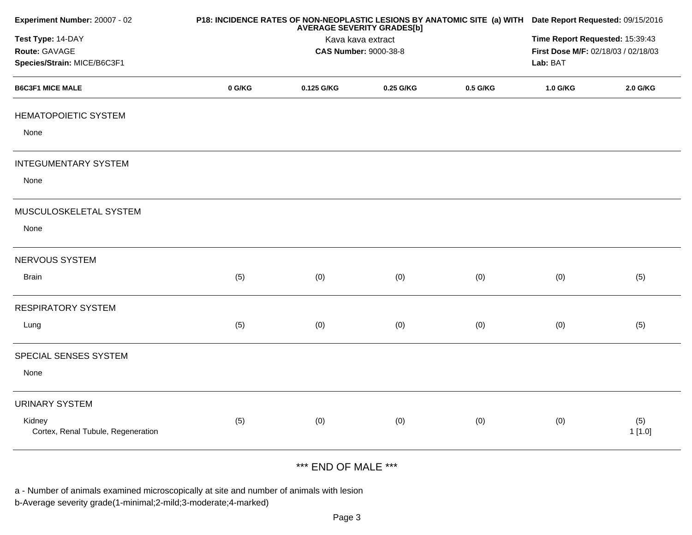| Experiment Number: 20007 - 02                |        |                                                                        | <b>AVERAGE SEVERITY GRADES[b]</b> |          | P18: INCIDENCE RATES OF NON-NEOPLASTIC LESIONS BY ANATOMIC SITE (a) WITH Date Report Requested: 09/15/2016 |               |  |  |
|----------------------------------------------|--------|------------------------------------------------------------------------|-----------------------------------|----------|------------------------------------------------------------------------------------------------------------|---------------|--|--|
| Test Type: 14-DAY                            |        | Time Report Requested: 15:39:43<br>First Dose M/F: 02/18/03 / 02/18/03 |                                   |          |                                                                                                            |               |  |  |
| Route: GAVAGE<br>Species/Strain: MICE/B6C3F1 |        | <b>CAS Number: 9000-38-8</b>                                           |                                   |          |                                                                                                            |               |  |  |
| <b>B6C3F1 MICE MALE</b>                      |        |                                                                        |                                   |          | Lab: BAT                                                                                                   |               |  |  |
|                                              | 0 G/KG | 0.125 G/KG                                                             | 0.25 G/KG                         | 0.5 G/KG | 1.0 G/KG                                                                                                   | 2.0 G/KG      |  |  |
| <b>HEMATOPOIETIC SYSTEM</b>                  |        |                                                                        |                                   |          |                                                                                                            |               |  |  |
| None                                         |        |                                                                        |                                   |          |                                                                                                            |               |  |  |
| <b>INTEGUMENTARY SYSTEM</b>                  |        |                                                                        |                                   |          |                                                                                                            |               |  |  |
| None                                         |        |                                                                        |                                   |          |                                                                                                            |               |  |  |
| MUSCULOSKELETAL SYSTEM                       |        |                                                                        |                                   |          |                                                                                                            |               |  |  |
| None                                         |        |                                                                        |                                   |          |                                                                                                            |               |  |  |
| NERVOUS SYSTEM                               |        |                                                                        |                                   |          |                                                                                                            |               |  |  |
| <b>Brain</b>                                 | (5)    | (0)                                                                    | (0)                               | (0)      | (0)                                                                                                        | (5)           |  |  |
| <b>RESPIRATORY SYSTEM</b>                    |        |                                                                        |                                   |          |                                                                                                            |               |  |  |
| Lung                                         | (5)    | (0)                                                                    | (0)                               | (0)      | (0)                                                                                                        | (5)           |  |  |
| SPECIAL SENSES SYSTEM                        |        |                                                                        |                                   |          |                                                                                                            |               |  |  |
| None                                         |        |                                                                        |                                   |          |                                                                                                            |               |  |  |
| <b>URINARY SYSTEM</b>                        |        |                                                                        |                                   |          |                                                                                                            |               |  |  |
| Kidney<br>Cortex, Renal Tubule, Regeneration | (5)    | (0)                                                                    | (0)                               | (0)      | (0)                                                                                                        | (5)<br>1[1.0] |  |  |
|                                              |        |                                                                        |                                   |          |                                                                                                            |               |  |  |

## \*\*\* END OF MALE \*\*\*

a - Number of animals examined microscopically at site and number of animals with lesion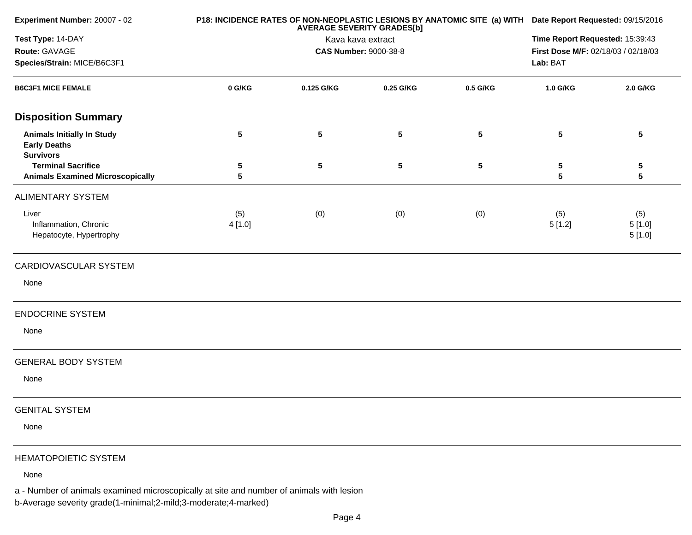| Experiment Number: 20007 - 02                                                |                              |                   | <b>AVERAGE SEVERITY GRADES[b]</b> |                                 | P18: INCIDENCE RATES OF NON-NEOPLASTIC LESIONS BY ANATOMIC SITE (a) WITH Date Report Requested: 09/15/2016 |                                     |  |  |
|------------------------------------------------------------------------------|------------------------------|-------------------|-----------------------------------|---------------------------------|------------------------------------------------------------------------------------------------------------|-------------------------------------|--|--|
| Test Type: 14-DAY                                                            |                              | Kava kava extract |                                   | Time Report Requested: 15:39:43 |                                                                                                            |                                     |  |  |
| Route: GAVAGE                                                                | <b>CAS Number: 9000-38-8</b> |                   |                                   |                                 |                                                                                                            | First Dose M/F: 02/18/03 / 02/18/03 |  |  |
| Species/Strain: MICE/B6C3F1<br><b>B6C3F1 MICE FEMALE</b>                     |                              |                   |                                   |                                 | Lab: BAT                                                                                                   |                                     |  |  |
|                                                                              | 0 G/KG                       | 0.125 G/KG        | 0.25 G/KG                         | 0.5 G/KG                        | 1.0 G/KG                                                                                                   | 2.0 G/KG                            |  |  |
| <b>Disposition Summary</b>                                                   |                              |                   |                                   |                                 |                                                                                                            |                                     |  |  |
| <b>Animals Initially In Study</b><br><b>Early Deaths</b><br><b>Survivors</b> | $5\phantom{.0}$              | 5                 | $5\phantom{.0}$                   | $5\phantom{.0}$                 | 5                                                                                                          | 5                                   |  |  |
| <b>Terminal Sacrifice</b><br><b>Animals Examined Microscopically</b>         | 5<br>5                       | 5                 | $5\phantom{.0}$                   | $5\phantom{.0}$                 | 5<br>$\overline{\mathbf{5}}$                                                                               | 5<br>5                              |  |  |
| ALIMENTARY SYSTEM                                                            |                              |                   |                                   |                                 |                                                                                                            |                                     |  |  |
| Liver<br>Inflammation, Chronic<br>Hepatocyte, Hypertrophy                    | (5)<br>4 [1.0]               | (0)               | (0)                               | (0)                             | (5)<br>5[1.2]                                                                                              | (5)<br>5[1.0]<br>5[1.0]             |  |  |
| CARDIOVASCULAR SYSTEM                                                        |                              |                   |                                   |                                 |                                                                                                            |                                     |  |  |
| None                                                                         |                              |                   |                                   |                                 |                                                                                                            |                                     |  |  |
| <b>ENDOCRINE SYSTEM</b>                                                      |                              |                   |                                   |                                 |                                                                                                            |                                     |  |  |
| None                                                                         |                              |                   |                                   |                                 |                                                                                                            |                                     |  |  |
| <b>GENERAL BODY SYSTEM</b>                                                   |                              |                   |                                   |                                 |                                                                                                            |                                     |  |  |
| None                                                                         |                              |                   |                                   |                                 |                                                                                                            |                                     |  |  |
| <b>GENITAL SYSTEM</b>                                                        |                              |                   |                                   |                                 |                                                                                                            |                                     |  |  |
| None                                                                         |                              |                   |                                   |                                 |                                                                                                            |                                     |  |  |
| <b>HEMATOPOIETIC SYSTEM</b>                                                  |                              |                   |                                   |                                 |                                                                                                            |                                     |  |  |
| None                                                                         |                              |                   |                                   |                                 |                                                                                                            |                                     |  |  |

a - Number of animals examined microscopically at site and number of animals with lesion